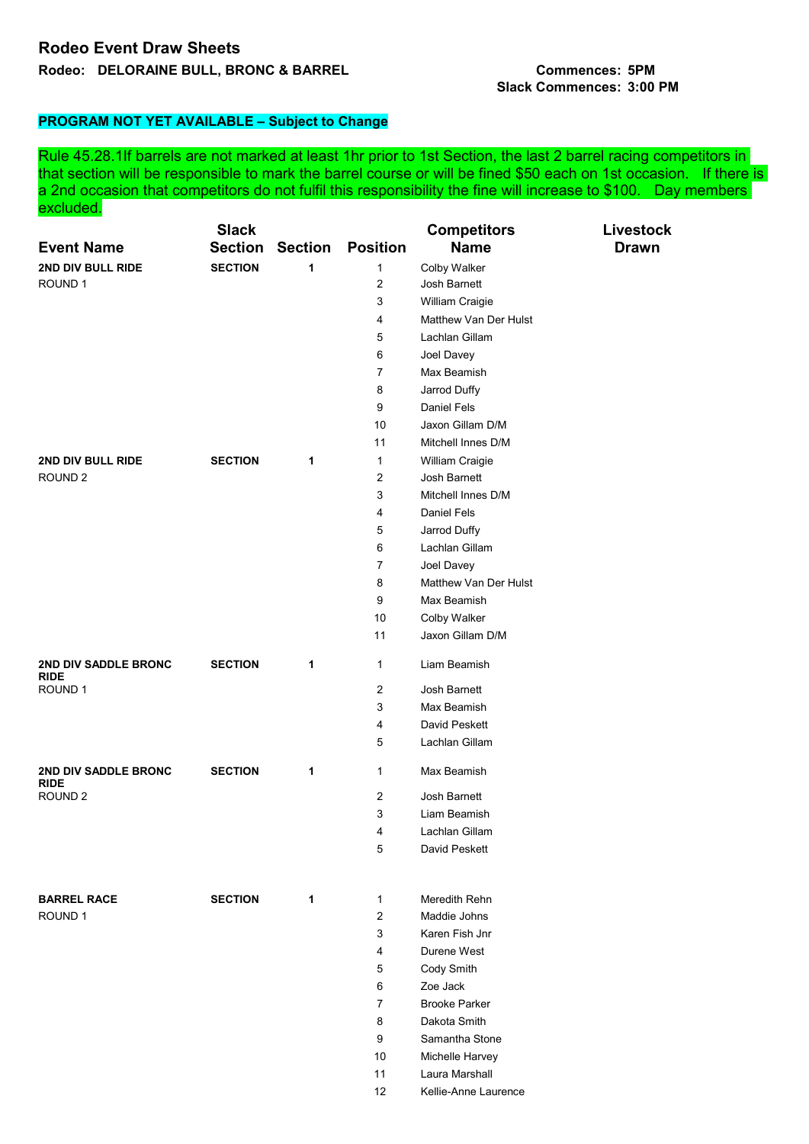## **Rodeo Event Draw Sheets Rodeo: DELORAINE BULL, BRONC & BARREL Commences: 5PM**

## **Slack Commences: 3:00 PM**

## **PROGRAM NOT YET AVAILABLE – Subject to Change**

Rule 45.28.1If barrels are not marked at least 1hr prior to 1st Section, the last 2 barrel racing competitors in that section will be responsible to mark the barrel course or will be fined \$50 each on 1st occasion. If there is a 2nd occasion that competitors do not fulfil this responsibility the fine will increase to \$100. Day members excluded.

|                                                                  | <b>Slack</b>   |                |                 | <b>Competitors</b>    | Livestock    |
|------------------------------------------------------------------|----------------|----------------|-----------------|-----------------------|--------------|
| <b>Event Name</b>                                                | <b>Section</b> | <b>Section</b> | <b>Position</b> | <b>Name</b>           | <b>Drawn</b> |
| 2ND DIV BULL RIDE                                                | <b>SECTION</b> | 1              | 1               | <b>Colby Walker</b>   |              |
| ROUND <sub>1</sub>                                               |                |                | 2               | Josh Barnett          |              |
|                                                                  |                |                | 3               | William Craigie       |              |
|                                                                  |                |                | 4               | Matthew Van Der Hulst |              |
|                                                                  |                |                | 5               | Lachlan Gillam        |              |
|                                                                  |                |                | 6               | Joel Davey            |              |
|                                                                  |                |                | $\overline{7}$  | Max Beamish           |              |
|                                                                  |                |                | 8               | Jarrod Duffy          |              |
|                                                                  |                |                | 9               | <b>Daniel Fels</b>    |              |
|                                                                  |                |                | 10              | Jaxon Gillam D/M      |              |
|                                                                  |                |                | 11              | Mitchell Innes D/M    |              |
| 2ND DIV BULL RIDE                                                | <b>SECTION</b> | 1              | 1               | William Craigie       |              |
| ROUND <sub>2</sub>                                               |                |                | 2               | Josh Barnett          |              |
|                                                                  |                |                | 3               | Mitchell Innes D/M    |              |
|                                                                  |                |                | 4               | Daniel Fels           |              |
|                                                                  |                |                | 5               | Jarrod Duffy          |              |
|                                                                  |                |                | 6               | Lachlan Gillam        |              |
|                                                                  |                |                | 7               | Joel Davey            |              |
|                                                                  |                |                | 8               | Matthew Van Der Hulst |              |
|                                                                  |                |                | 9               | Max Beamish           |              |
|                                                                  |                |                | 10              | Colby Walker          |              |
|                                                                  |                |                | 11              | Jaxon Gillam D/M      |              |
| <b>2ND DIV SADDLE BRONC</b><br><b>RIDE</b><br>ROUND 1            | <b>SECTION</b> | 1              | $\mathbf{1}$    | Liam Beamish          |              |
|                                                                  |                |                | 2               | Josh Barnett          |              |
|                                                                  |                |                | 3               | Max Beamish           |              |
|                                                                  |                |                | 4               | David Peskett         |              |
|                                                                  |                |                | 5               | Lachlan Gillam        |              |
| <b>2ND DIV SADDLE BRONC</b><br><b>RIDE</b><br>ROUND <sub>2</sub> | <b>SECTION</b> | 1              | 1               | Max Beamish           |              |
|                                                                  |                |                | 2               | Josh Barnett          |              |
|                                                                  |                |                | 3               | Liam Beamish          |              |
|                                                                  |                |                | 4               | Lachlan Gillam        |              |
|                                                                  |                |                | 5               | David Peskett         |              |
|                                                                  |                |                |                 |                       |              |
| <b>BARREL RACE</b>                                               | <b>SECTION</b> | 1              | 1               | Meredith Rehn         |              |
| ROUND <sub>1</sub>                                               |                |                | $\overline{2}$  | Maddie Johns          |              |
|                                                                  |                |                | 3               | Karen Fish Jnr        |              |
|                                                                  |                |                | 4               | Durene West           |              |
|                                                                  |                |                | 5               | Cody Smith            |              |
|                                                                  |                |                | 6               | Zoe Jack              |              |
|                                                                  |                |                | 7               | <b>Brooke Parker</b>  |              |
|                                                                  |                |                | 8               | Dakota Smith          |              |
|                                                                  |                |                | 9               | Samantha Stone        |              |
|                                                                  |                |                | 10              | Michelle Harvey       |              |
|                                                                  |                |                | 11              | Laura Marshall        |              |
|                                                                  |                |                | 12              | Kellie-Anne Laurence  |              |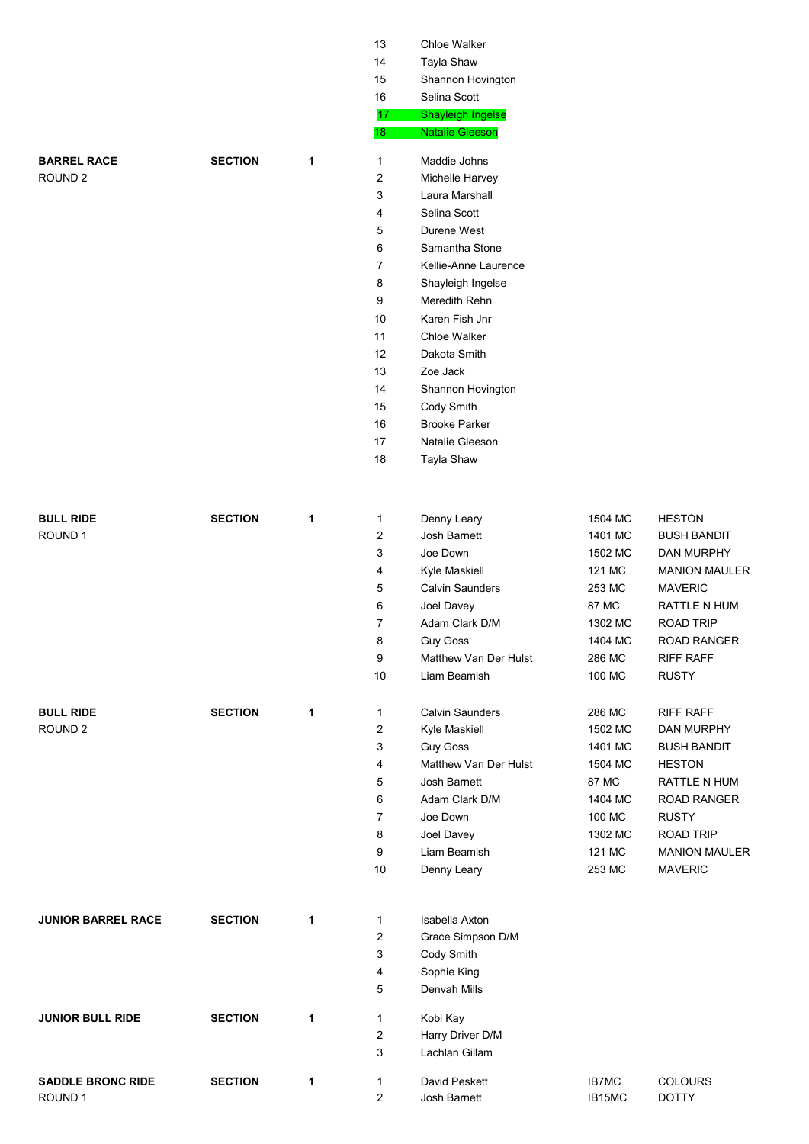|                           |                |   | 13                      | Chloe Walker           |              |                      |
|---------------------------|----------------|---|-------------------------|------------------------|--------------|----------------------|
|                           |                |   | 14                      | Tayla Shaw             |              |                      |
|                           |                |   | 15                      | Shannon Hovington      |              |                      |
|                           |                |   | 16                      | Selina Scott           |              |                      |
|                           |                |   | 17                      | Shayleigh Ingelse      |              |                      |
|                           |                |   | 18                      | <b>Natalie Gleeson</b> |              |                      |
| <b>BARREL RACE</b>        | <b>SECTION</b> | 1 | $\mathbf{1}$            | Maddie Johns           |              |                      |
| ROUND <sub>2</sub>        |                |   | 2                       | Michelle Harvey        |              |                      |
|                           |                |   | 3                       | Laura Marshall         |              |                      |
|                           |                |   | 4                       | Selina Scott           |              |                      |
|                           |                |   | 5                       | Durene West            |              |                      |
|                           |                |   | 6                       | Samantha Stone         |              |                      |
|                           |                |   | 7                       | Kellie-Anne Laurence   |              |                      |
|                           |                |   | 8                       | Shayleigh Ingelse      |              |                      |
|                           |                |   | 9                       | Meredith Rehn          |              |                      |
|                           |                |   | 10                      | Karen Fish Jnr         |              |                      |
|                           |                |   | 11                      | Chloe Walker           |              |                      |
|                           |                |   | 12                      | Dakota Smith           |              |                      |
|                           |                |   | 13                      | Zoe Jack               |              |                      |
|                           |                |   | 14                      | Shannon Hovington      |              |                      |
|                           |                |   | 15                      | Cody Smith             |              |                      |
|                           |                |   | 16                      | <b>Brooke Parker</b>   |              |                      |
|                           |                |   | 17                      | Natalie Gleeson        |              |                      |
|                           |                |   | 18                      | Tayla Shaw             |              |                      |
|                           |                |   |                         |                        |              |                      |
| <b>BULL RIDE</b>          | <b>SECTION</b> | 1 | $\mathbf{1}$            | Denny Leary            | 1504 MC      | <b>HESTON</b>        |
| ROUND <sub>1</sub>        |                |   | 2                       | Josh Barnett           | 1401 MC      | <b>BUSH BANDIT</b>   |
|                           |                |   | 3                       | Joe Down               | 1502 MC      | DAN MURPHY           |
|                           |                |   | 4                       | Kyle Maskiell          | 121 MC       | <b>MANION MAULER</b> |
|                           |                |   | 5                       | <b>Calvin Saunders</b> | 253 MC       | <b>MAVERIC</b>       |
|                           |                |   | 6                       | Joel Davey             | 87 MC        | RATTLE N HUM         |
|                           |                |   | 7                       | Adam Clark D/M         | 1302 MC      | <b>ROAD TRIP</b>     |
|                           |                |   | 8                       | <b>Guy Goss</b>        | 1404 MC      | <b>ROAD RANGER</b>   |
|                           |                |   | $\boldsymbol{9}$        | Matthew Van Der Hulst  | 286 MC       | <b>RIFF RAFF</b>     |
|                           |                |   | $10$                    | Liam Beamish           | 100 MC       | <b>RUSTY</b>         |
| <b>BULL RIDE</b>          | <b>SECTION</b> | 1 | 1                       | <b>Calvin Saunders</b> | 286 MC       | <b>RIFF RAFF</b>     |
| ROUND <sub>2</sub>        |                |   | 2                       | Kyle Maskiell          | 1502 MC      | DAN MURPHY           |
|                           |                |   | 3                       | <b>Guy Goss</b>        | 1401 MC      | <b>BUSH BANDIT</b>   |
|                           |                |   | 4                       | Matthew Van Der Hulst  | 1504 MC      | <b>HESTON</b>        |
|                           |                |   | 5                       | Josh Barnett           | 87 MC        | RATTLE N HUM         |
|                           |                |   | 6                       | Adam Clark D/M         | 1404 MC      | <b>ROAD RANGER</b>   |
|                           |                |   | 7                       | Joe Down               | 100 MC       | <b>RUSTY</b>         |
|                           |                |   | 8                       | Joel Davey             | 1302 MC      | <b>ROAD TRIP</b>     |
|                           |                |   | 9                       | Liam Beamish           | 121 MC       | <b>MANION MAULER</b> |
|                           |                |   | $10$                    | Denny Leary            | 253 MC       | <b>MAVERIC</b>       |
|                           |                |   |                         |                        |              |                      |
| <b>JUNIOR BARREL RACE</b> | <b>SECTION</b> | 1 | 1                       | Isabella Axton         |              |                      |
|                           |                |   | 2                       | Grace Simpson D/M      |              |                      |
|                           |                |   | 3                       | Cody Smith             |              |                      |
|                           |                |   | 4                       | Sophie King            |              |                      |
|                           |                |   | 5                       | Denvah Mills           |              |                      |
| <b>JUNIOR BULL RIDE</b>   | <b>SECTION</b> | 1 | 1                       | Kobi Kay               |              |                      |
|                           |                |   | 2                       | Harry Driver D/M       |              |                      |
|                           |                |   | 3                       | Lachlan Gillam         |              |                      |
| <b>SADDLE BRONC RIDE</b>  | <b>SECTION</b> | 1 | $\mathbf{1}$            | David Peskett          | <b>IB7MC</b> | <b>COLOURS</b>       |
| ROUND <sub>1</sub>        |                |   | $\overline{\mathbf{c}}$ | Josh Barnett           | IB15MC       | <b>DOTTY</b>         |